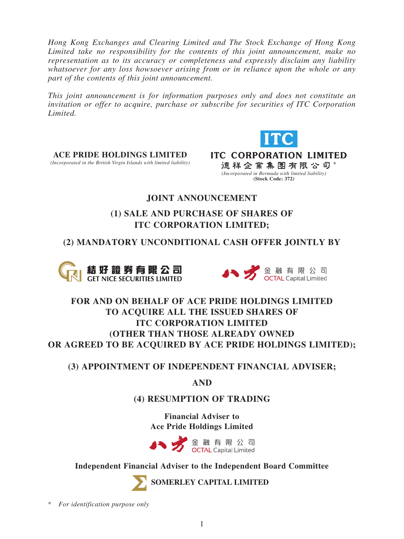*Hong Kong Exchanges and Clearing Limited and The Stock Exchange of Hong Kong Limited take no responsibility for the contents of this joint announcement, make no representation as to its accuracy or completeness and expressly disclaim any liability whatsoever for any loss howsoever arising from or in reliance upon the whole or any part of the contents of this joint announcement.*

*This joint announcement is for information purposes only and does not constitute an invitation or offer to acquire, purchase or subscribe for securities of ITC Corporation Limited.*



**ACE PRIDE HOLDINGS LIMITED**<br>*(Incorporated in the British Virgin Islands with limited liability)* 

**ITC CORPORATION LIMITED 德祥企業集團有限公司** *(Incorporated in Bermuda with limited liability)* **(Stock Code: 372)**

## **JOINT ANNOUNCEMENT**

# **(1) SALE AND PURCHASE OF SHARES OF ITC CORPORATION LIMITED;**

# **(2) MANDATORY UNCONDITIONAL CASH OFFER JOINTLY BY**





# **FOR AND ON BEHALF OF ACE PRIDE HOLDINGS LIMITED TO ACQUIRE ALL THE ISSUED SHARES OF ITC CORPORATION LIMITED (OTHER THAN THOSE ALREADY OWNED OR AGREED TO BE ACQUIRED BY ACE PRIDE HOLDINGS LIMITED);**

## **(3) APPOINTMENT OF INDEPENDENT FINANCIAL ADVISER;**

**AND**

## **(4) RESUMPTION OF TRADING**

**Financial Adviser to Ace Pride Holdings Limited**



## **Independent Financial Adviser to the Independent Board Committee**



**SOMERLEY CAPITAL LIMITED**

\* *For identification purpose only*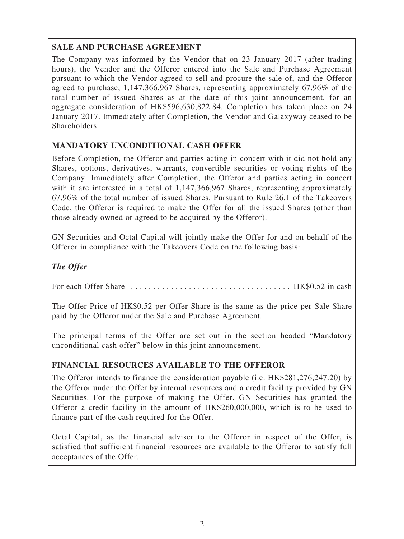## **SALE AND PURCHASE AGREEMENT**

The Company was informed by the Vendor that on 23 January 2017 (after trading hours), the Vendor and the Offeror entered into the Sale and Purchase Agreement pursuant to which the Vendor agreed to sell and procure the sale of, and the Offeror agreed to purchase, 1,147,366,967 Shares, representing approximately 67.96% of the total number of issued Shares as at the date of this joint announcement, for an aggregate consideration of HK\$596,630,822.84. Completion has taken place on 24 January 2017. Immediately after Completion, the Vendor and Galaxyway ceased to be Shareholders.

## **MANDATORY UNCONDITIONAL CASH OFFER**

Before Completion, the Offeror and parties acting in concert with it did not hold any Shares, options, derivatives, warrants, convertible securities or voting rights of the Company. Immediately after Completion, the Offeror and parties acting in concert with it are interested in a total of 1,147,366,967 Shares, representing approximately 67.96% of the total number of issued Shares. Pursuant to Rule 26.1 of the Takeovers Code, the Offeror is required to make the Offer for all the issued Shares (other than those already owned or agreed to be acquired by the Offeror).

GN Securities and Octal Capital will jointly make the Offer for and on behalf of the Offeror in compliance with the Takeovers Code on the following basis:

## *The Offer*

For each Offer Share . . . . . . . . . . . . . . . . . . . . . . . . . . . . . . . . . . . . HK\$0.52 in cash

The Offer Price of HK\$0.52 per Offer Share is the same as the price per Sale Share paid by the Offeror under the Sale and Purchase Agreement.

The principal terms of the Offer are set out in the section headed "Mandatory unconditional cash offer" below in this joint announcement.

## **FINANCIAL RESOURCES AVAILABLE TO THE OFFEROR**

The Offeror intends to finance the consideration payable (i.e. HK\$281,276,247.20) by the Offeror under the Offer by internal resources and a credit facility provided by GN Securities. For the purpose of making the Offer, GN Securities has granted the Offeror a credit facility in the amount of HK\$260,000,000, which is to be used to finance part of the cash required for the Offer.

Octal Capital, as the financial adviser to the Offeror in respect of the Offer, is satisfied that sufficient financial resources are available to the Offeror to satisfy full acceptances of the Offer.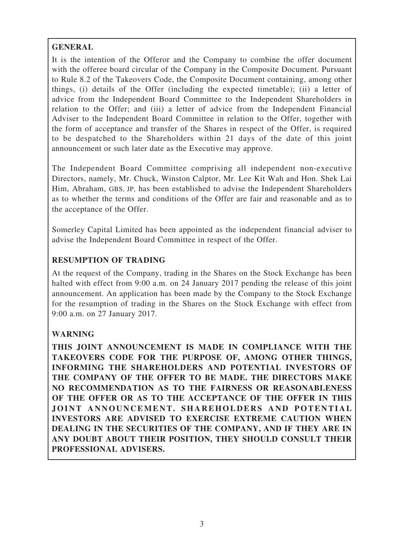## **GENERAL**

It is the intention of the Offeror and the Company to combine the offer document with the offeree board circular of the Company in the Composite Document. Pursuant to Rule 8.2 of the Takeovers Code, the Composite Document containing, among other things, (i) details of the Offer (including the expected timetable); (ii) a letter of advice from the Independent Board Committee to the Independent Shareholders in relation to the Offer; and (iii) a letter of advice from the Independent Financial Adviser to the Independent Board Committee in relation to the Offer, together with the form of acceptance and transfer of the Shares in respect of the Offer, is required to be despatched to the Shareholders within 21 days of the date of this joint announcement or such later date as the Executive may approve.

The Independent Board Committee comprising all independent non-executive Directors, namely, Mr. Chuck, Winston Calptor, Mr. Lee Kit Wah and Hon. Shek Lai Him, Abraham, GBS, JP, has been established to advise the Independent Shareholders as to whether the terms and conditions of the Offer are fair and reasonable and as to the acceptance of the Offer.

Somerley Capital Limited has been appointed as the independent financial adviser to advise the Independent Board Committee in respect of the Offer.

## **RESUMPTION OF TRADING**

At the request of the Company, trading in the Shares on the Stock Exchange has been halted with effect from 9:00 a.m. on 24 January 2017 pending the release of this joint announcement. An application has been made by the Company to the Stock Exchange for the resumption of trading in the Shares on the Stock Exchange with effect from 9:00 a.m. on 27 January 2017.

## **WARNING**

**THIS JOINT ANNOUNCEMENT IS MADE IN COMPLIANCE WITH THE TAKEOVERS CODE FOR THE PURPOSE OF, AMONG OTHER THINGS, INFORMING THE SHAREHOLDERS AND POTENTIAL INVESTORS OF THE COMPANY OF THE OFFER TO BE MADE. THE DIRECTORS MAKE NO RECOMMENDATION AS TO THE FAIRNESS OR REASONABLENESS OF THE OFFER OR AS TO THE ACCEPTANCE OF THE OFFER IN THIS JOINT ANNOUNCEMENT. SHAREHOLDERS AND POTENTIAL INVESTORS ARE ADVISED TO EXERCISE EXTREME CAUTION WHEN DEALING IN THE SECURITIES OF THE COMPANY, AND IF THEY ARE IN ANY DOUBT ABOUT THEIR POSITION, THEY SHOULD CONSULT THEIR PROFESSIONAL ADVISERS.**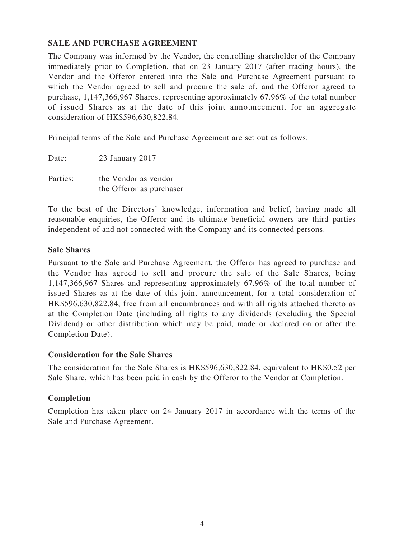## **SALE AND PURCHASE AGREEMENT**

The Company was informed by the Vendor, the controlling shareholder of the Company immediately prior to Completion, that on 23 January 2017 (after trading hours), the Vendor and the Offeror entered into the Sale and Purchase Agreement pursuant to which the Vendor agreed to sell and procure the sale of, and the Offeror agreed to purchase, 1,147,366,967 Shares, representing approximately 67.96% of the total number of issued Shares as at the date of this joint announcement, for an aggregate consideration of HK\$596,630,822.84.

Principal terms of the Sale and Purchase Agreement are set out as follows:

| Date:    | 23 January 2017          |
|----------|--------------------------|
| Parties: | the Vendor as vendor     |
|          | the Offeror as purchaser |

To the best of the Directors' knowledge, information and belief, having made all reasonable enquiries, the Offeror and its ultimate beneficial owners are third parties independent of and not connected with the Company and its connected persons.

## **Sale Shares**

Pursuant to the Sale and Purchase Agreement, the Offeror has agreed to purchase and the Vendor has agreed to sell and procure the sale of the Sale Shares, being 1,147,366,967 Shares and representing approximately 67.96% of the total number of issued Shares as at the date of this joint announcement, for a total consideration of HK\$596,630,822.84, free from all encumbrances and with all rights attached thereto as at the Completion Date (including all rights to any dividends (excluding the Special Dividend) or other distribution which may be paid, made or declared on or after the Completion Date).

## **Consideration for the Sale Shares**

The consideration for the Sale Shares is HK\$596,630,822.84, equivalent to HK\$0.52 per Sale Share, which has been paid in cash by the Offeror to the Vendor at Completion.

## **Completion**

Completion has taken place on 24 January 2017 in accordance with the terms of the Sale and Purchase Agreement.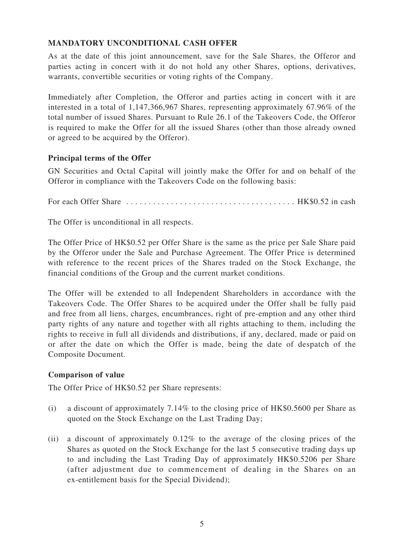## **MANDATORY UNCONDITIONAL CASH OFFER**

As at the date of this joint announcement, save for the Sale Shares, the Offeror and parties acting in concert with it do not hold any other Shares, options, derivatives, warrants, convertible securities or voting rights of the Company.

Immediately after Completion, the Offeror and parties acting in concert with it are interested in a total of 1,147,366,967 Shares, representing approximately 67.96% of the total number of issued Shares. Pursuant to Rule 26.1 of the Takeovers Code, the Offeror is required to make the Offer for all the issued Shares (other than those already owned or agreed to be acquired by the Offeror).

### **Principal terms of the Offer**

GN Securities and Octal Capital will jointly make the Offer for and on behalf of the Offeror in compliance with the Takeovers Code on the following basis:

For each Offer Share . . . . . . . . . . . . . . . . . . . . . . . . . . . . . . . . . . . . . . HK\$0.52 in cash

The Offer is unconditional in all respects.

The Offer Price of HK\$0.52 per Offer Share is the same as the price per Sale Share paid by the Offeror under the Sale and Purchase Agreement. The Offer Price is determined with reference to the recent prices of the Shares traded on the Stock Exchange, the financial conditions of the Group and the current market conditions.

The Offer will be extended to all Independent Shareholders in accordance with the Takeovers Code. The Offer Shares to be acquired under the Offer shall be fully paid and free from all liens, charges, encumbrances, right of pre-emption and any other third party rights of any nature and together with all rights attaching to them, including the rights to receive in full all dividends and distributions, if any, declared, made or paid on or after the date on which the Offer is made, being the date of despatch of the Composite Document.

#### **Comparison of value**

The Offer Price of HK\$0.52 per Share represents:

- (i) a discount of approximately 7.14% to the closing price of HK\$0.5600 per Share as quoted on the Stock Exchange on the Last Trading Day;
- (ii) a discount of approximately 0.12% to the average of the closing prices of the Shares as quoted on the Stock Exchange for the last 5 consecutive trading days up to and including the Last Trading Day of approximately HK\$0.5206 per Share (after adjustment due to commencement of dealing in the Shares on an ex-entitlement basis for the Special Dividend);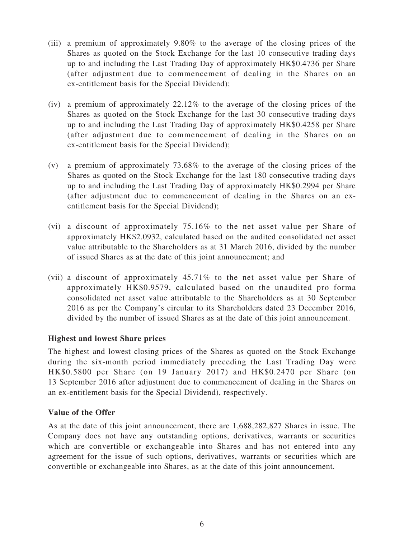- (iii) a premium of approximately 9.80% to the average of the closing prices of the Shares as quoted on the Stock Exchange for the last 10 consecutive trading days up to and including the Last Trading Day of approximately HK\$0.4736 per Share (after adjustment due to commencement of dealing in the Shares on an ex-entitlement basis for the Special Dividend);
- (iv) a premium of approximately  $22.12\%$  to the average of the closing prices of the Shares as quoted on the Stock Exchange for the last 30 consecutive trading days up to and including the Last Trading Day of approximately HK\$0.4258 per Share (after adjustment due to commencement of dealing in the Shares on an ex-entitlement basis for the Special Dividend);
- (v) a premium of approximately 73.68% to the average of the closing prices of the Shares as quoted on the Stock Exchange for the last 180 consecutive trading days up to and including the Last Trading Day of approximately HK\$0.2994 per Share (after adjustment due to commencement of dealing in the Shares on an exentitlement basis for the Special Dividend);
- (vi) a discount of approximately 75.16% to the net asset value per Share of approximately HK\$2.0932, calculated based on the audited consolidated net asset value attributable to the Shareholders as at 31 March 2016, divided by the number of issued Shares as at the date of this joint announcement; and
- (vii) a discount of approximately 45.71% to the net asset value per Share of approximately HK\$0.9579, calculated based on the unaudited pro forma consolidated net asset value attributable to the Shareholders as at 30 September 2016 as per the Company's circular to its Shareholders dated 23 December 2016, divided by the number of issued Shares as at the date of this joint announcement.

## **Highest and lowest Share prices**

The highest and lowest closing prices of the Shares as quoted on the Stock Exchange during the six-month period immediately preceding the Last Trading Day were HK\$0.5800 per Share (on 19 January 2017) and HK\$0.2470 per Share (on 13 September 2016 after adjustment due to commencement of dealing in the Shares on an ex-entitlement basis for the Special Dividend), respectively.

## **Value of the Offer**

As at the date of this joint announcement, there are 1,688,282,827 Shares in issue. The Company does not have any outstanding options, derivatives, warrants or securities which are convertible or exchangeable into Shares and has not entered into any agreement for the issue of such options, derivatives, warrants or securities which are convertible or exchangeable into Shares, as at the date of this joint announcement.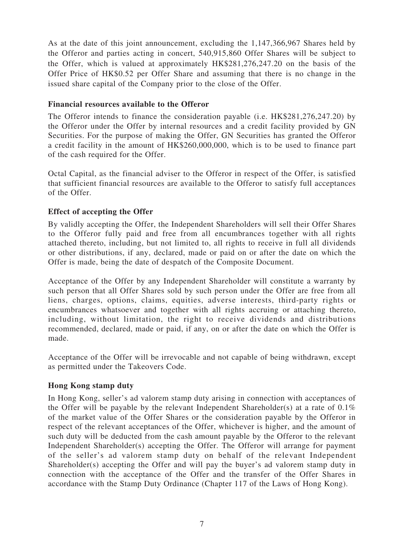As at the date of this joint announcement, excluding the 1,147,366,967 Shares held by the Offeror and parties acting in concert, 540,915,860 Offer Shares will be subject to the Offer, which is valued at approximately HK\$281,276,247.20 on the basis of the Offer Price of HK\$0.52 per Offer Share and assuming that there is no change in the issued share capital of the Company prior to the close of the Offer.

### **Financial resources available to the Offeror**

The Offeror intends to finance the consideration payable (i.e. HK\$281,276,247.20) by the Offeror under the Offer by internal resources and a credit facility provided by GN Securities. For the purpose of making the Offer, GN Securities has granted the Offeror a credit facility in the amount of HK\$260,000,000, which is to be used to finance part of the cash required for the Offer.

Octal Capital, as the financial adviser to the Offeror in respect of the Offer, is satisfied that sufficient financial resources are available to the Offeror to satisfy full acceptances of the Offer.

## **Effect of accepting the Offer**

By validly accepting the Offer, the Independent Shareholders will sell their Offer Shares to the Offeror fully paid and free from all encumbrances together with all rights attached thereto, including, but not limited to, all rights to receive in full all dividends or other distributions, if any, declared, made or paid on or after the date on which the Offer is made, being the date of despatch of the Composite Document.

Acceptance of the Offer by any Independent Shareholder will constitute a warranty by such person that all Offer Shares sold by such person under the Offer are free from all liens, charges, options, claims, equities, adverse interests, third-party rights or encumbrances whatsoever and together with all rights accruing or attaching thereto, including, without limitation, the right to receive dividends and distributions recommended, declared, made or paid, if any, on or after the date on which the Offer is made.

Acceptance of the Offer will be irrevocable and not capable of being withdrawn, except as permitted under the Takeovers Code.

#### **Hong Kong stamp duty**

In Hong Kong, seller's ad valorem stamp duty arising in connection with acceptances of the Offer will be payable by the relevant Independent Shareholder(s) at a rate of 0.1% of the market value of the Offer Shares or the consideration payable by the Offeror in respect of the relevant acceptances of the Offer, whichever is higher, and the amount of such duty will be deducted from the cash amount payable by the Offeror to the relevant Independent Shareholder(s) accepting the Offer. The Offeror will arrange for payment of the seller's ad valorem stamp duty on behalf of the relevant Independent Shareholder(s) accepting the Offer and will pay the buyer's ad valorem stamp duty in connection with the acceptance of the Offer and the transfer of the Offer Shares in accordance with the Stamp Duty Ordinance (Chapter 117 of the Laws of Hong Kong).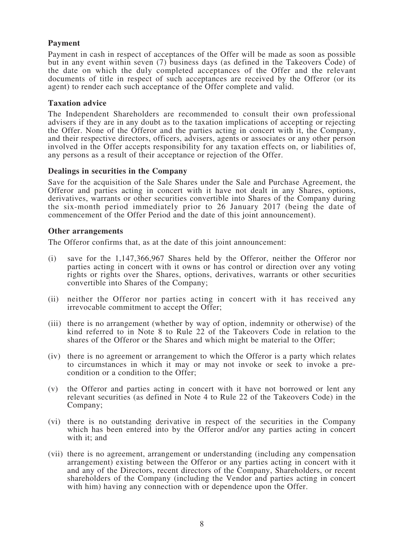#### **Payment**

Payment in cash in respect of acceptances of the Offer will be made as soon as possible but in any event within seven (7) business days (as defined in the Takeovers Code) of the date on which the duly completed acceptances of the Offer and the relevant documents of title in respect of such acceptances are received by the Offeror (or its agent) to render each such acceptance of the Offer complete and valid.

#### **Taxation advice**

The Independent Shareholders are recommended to consult their own professional advisers if they are in any doubt as to the taxation implications of accepting or rejecting the Offer. None of the Offeror and the parties acting in concert with it, the Company, and their respective directors, officers, advisers, agents or associates or any other person involved in the Offer accepts responsibility for any taxation effects on, or liabilities of, any persons as <sup>a</sup> result of their acceptance or rejection of the Offer.

#### **Dealings in securities in the Company**

Save for the acquisition of the Sale Shares under the Sale and Purchase Agreement, the Offeror and parties acting in concert with it have not dealt in any Shares, options, derivatives, warrants or other securities convertible into Shares of the Company during the six-month period immediately prior to 26 January 2017 (being the date of commencement of the Offer Period and the date of this joint announcement).

#### **Other arrangements**

The Offeror confirms that, as at the date of this joint announcement:

- (i) save for the 1,147,366,967 Shares held by the Offeror, neither the Offeror nor parties acting in concert with it owns or has control or direction over any voting rights or rights over the Shares, options, derivatives, warrants or other securities convertible into Shares of the Company;
- (ii) neither the Offeror nor parties acting in concert with it has received any irrevocable commitment to accept the Offer;
- (iii) there is no arrangement (whether by way of option, indemnity or otherwise) of the kind referred to in Note 8 to Rule 22 of the Takeovers Code in relation to the shares of the Offeror or the Shares and which might be material to the Offer;
- (iv) there is no agreement or arrangement to which the Offeror is a party which relates to circumstances in which it may or may not invoke or seek to invoke a precondition or a condition to the Offer;
- (v) the Offeror and parties acting in concert with it have not borrowed or lent any relevant securities (as defined in Note 4 to Rule 22 of the Takeovers Code) in the Company;
- (vi) there is no outstanding derivative in respect of the securities in the Company which has been entered into by the Offeror and/or any parties acting in concert with it; and
- (vii) there is no agreement, arrangement or understanding (including any compensation arrangement) existing between the Offeror or any parties acting in concert with it and any of the Directors, recent directors of the Company, Shareholders, or recent shareholders of the Company (including the Vendor and parties acting in concert with him) having any connection with or dependence upon the Offer.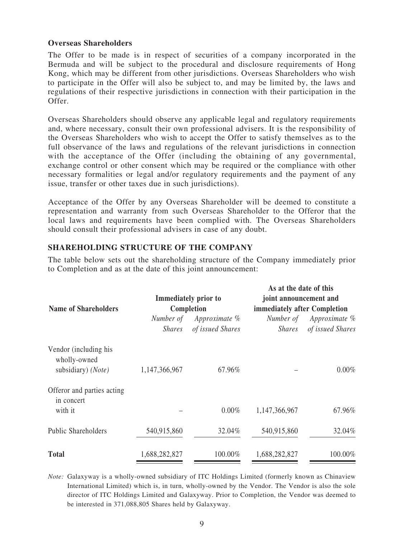#### **Overseas Shareholders**

The Offer to be made is in respect of securities of a company incorporated in the Bermuda and will be subject to the procedural and disclosure requirements of Hong Kong, which may be different from other jurisdictions. Overseas Shareholders who wish to participate in the Offer will also be subject to, and may be limited by, the laws and regulations of their respective jurisdictions in connection with their participation in the Offer.

Overseas Shareholders should observe any applicable legal and regulatory requirements and, where necessary, consult their own professional advisers. It is the responsibility of the Overseas Shareholders who wish to accept the Offer to satisfy themselves as to the full observance of the laws and regulations of the relevant jurisdictions in connection with the acceptance of the Offer (including the obtaining of any governmental, exchange control or other consent which may be required or the compliance with other necessary formalities or legal and/or regulatory requirements and the payment of any issue, transfer or other taxes due in such jurisdictions).

Acceptance of the Offer by any Overseas Shareholder will be deemed to constitute a representation and warranty from such Overseas Shareholder to the Offeror that the local laws and requirements have been complied with. The Overseas Shareholders should consult their professional advisers in case of any doubt.

#### **SHAREHOLDING STRUCTURE OF THE COMPANY**

The table below sets out the shareholding structure of the Company immediately prior to Completion and as at the date of this joint announcement:

**As at the date of this**

| <b>Name of Shareholders</b>                                 | <b>Immediately prior to</b><br>Completion |                                   | As at the date of this<br>joint announcement and<br>immediately after Completion |                                   |
|-------------------------------------------------------------|-------------------------------------------|-----------------------------------|----------------------------------------------------------------------------------|-----------------------------------|
|                                                             | Number of<br><i>Shares</i>                | Approximate %<br>of issued Shares | Number of<br><i>Shares</i>                                                       | Approximate %<br>of issued Shares |
| Vendor (including his<br>wholly-owned<br>subsidiary) (Note) | 1,147,366,967                             | 67.96%                            |                                                                                  | $0.00\%$                          |
| Offeror and parties acting<br>in concert<br>with it         |                                           | $0.00\%$                          | 1,147,366,967                                                                    | 67.96%                            |
| <b>Public Shareholders</b>                                  | 540,915,860                               | 32.04%                            | 540,915,860                                                                      | 32.04%                            |
| <b>Total</b>                                                | 1,688,282,827                             | 100.00%                           | 1,688,282,827                                                                    | 100.00%                           |

*Note:* Galaxyway is a wholly-owned subsidiary of ITC Holdings Limited (formerly known as Chinaview International Limited) which is, in turn, wholly-owned by the Vendor. The Vendor is also the sole director of ITC Holdings Limited and Galaxyway. Prior to Completion, the Vendor was deemed to be interested in 371,088,805 Shares held by Galaxyway.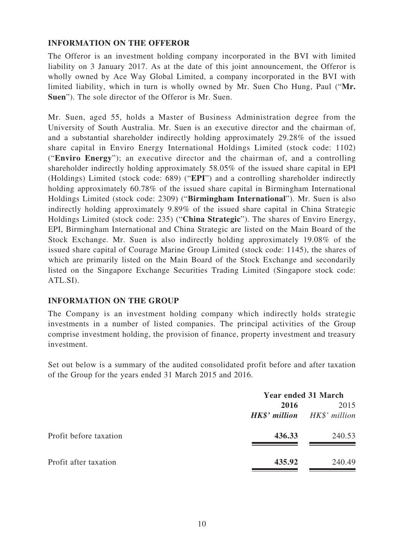### **INFORMATION ON THE OFFEROR**

The Offeror is an investment holding company incorporated in the BVI with limited liability on 3 January 2017. As at the date of this joint announcement, the Offeror is wholly owned by Ace Way Global Limited, a company incorporated in the BVI with limited liability, which in turn is wholly owned by Mr. Suen Cho Hung, Paul ("**Mr. Suen**"). The sole director of the Offeror is Mr. Suen.

Mr. Suen, aged 55, holds a Master of Business Administration degree from the University of South Australia. Mr. Suen is an executive director and the chairman of, and a substantial shareholder indirectly holding approximately 29.28% of the issued share capital in Enviro Energy International Holdings Limited (stock code: 1102) ("**Enviro Energy**"); an executive director and the chairman of, and a controlling shareholder indirectly holding approximately 58.05% of the issued share capital in EPI (Holdings) Limited (stock code: 689) ("**EPI**") and a controlling shareholder indirectly holding approximately 60.78% of the issued share capital in Birmingham International Holdings Limited (stock code: 2309) ("**Birmingham International**"). Mr. Suen is also indirectly holding approximately 9.89% of the issued share capital in China Strategic Holdings Limited (stock code: 235) ("**China Strategic**"). The shares of Enviro Energy, EPI, Birmingham International and China Strategic are listed on the Main Board of the Stock Exchange. Mr. Suen is also indirectly holding approximately 19.08% of the issued share capital of Courage Marine Group Limited (stock code: 1145), the shares of which are primarily listed on the Main Board of the Stock Exchange and secondarily listed on the Singapore Exchange Securities Trading Limited (Singapore stock code: ATL.SI).

## **INFORMATION ON THE GROUP**

The Company is an investment holding company which indirectly holds strategic investments in a number of listed companies. The principal activities of the Group comprise investment holding, the provision of finance, property investment and treasury investment.

Set out below is a summary of the audited consolidated profit before and after taxation of the Group for the years ended 31 March 2015 and 2016.

|                        | <b>Year ended 31 March</b>                 |        |
|------------------------|--------------------------------------------|--------|
|                        | 2016<br><b>HK\$'</b> million HK\$' million | 2015   |
| Profit before taxation | 436.33                                     | 240.53 |
| Profit after taxation  | 435.92                                     | 240.49 |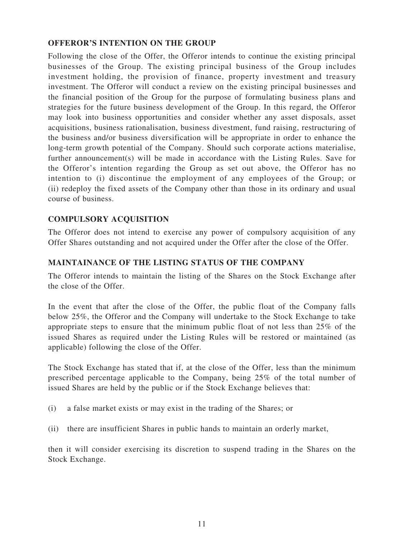## **OFFEROR'S INTENTION ON THE GROUP**

Following the close of the Offer, the Offeror intends to continue the existing principal businesses of the Group. The existing principal business of the Group includes investment holding, the provision of finance, property investment and treasury investment. The Offeror will conduct a review on the existing principal businesses and the financial position of the Group for the purpose of formulating business plans and strategies for the future business development of the Group. In this regard, the Offeror may look into business opportunities and consider whether any asset disposals, asset acquisitions, business rationalisation, business divestment, fund raising, restructuring of the business and/or business diversification will be appropriate in order to enhance the long-term growth potential of the Company. Should such corporate actions materialise, further announcement(s) will be made in accordance with the Listing Rules. Save for the Offeror's intention regarding the Group as set out above, the Offeror has no intention to (i) discontinue the employment of any employees of the Group; or (ii) redeploy the fixed assets of the Company other than those in its ordinary and usual course of business.

## **COMPULSORY ACQUISITION**

The Offeror does not intend to exercise any power of compulsory acquisition of any Offer Shares outstanding and not acquired under the Offer after the close of the Offer.

## **MAINTAINANCE OF THE LISTING STATUS OF THE COMPANY**

The Offeror intends to maintain the listing of the Shares on the Stock Exchange after the close of the Offer.

In the event that after the close of the Offer, the public float of the Company falls below 25%, the Offeror and the Company will undertake to the Stock Exchange to take appropriate steps to ensure that the minimum public float of not less than 25% of the issued Shares as required under the Listing Rules will be restored or maintained (as applicable) following the close of the Offer.

The Stock Exchange has stated that if, at the close of the Offer, less than the minimum prescribed percentage applicable to the Company, being 25% of the total number of issued Shares are held by the public or if the Stock Exchange believes that:

- (i) a false market exists or may exist in the trading of the Shares; or
- (ii) there are insufficient Shares in public hands to maintain an orderly market,

then it will consider exercising its discretion to suspend trading in the Shares on the Stock Exchange.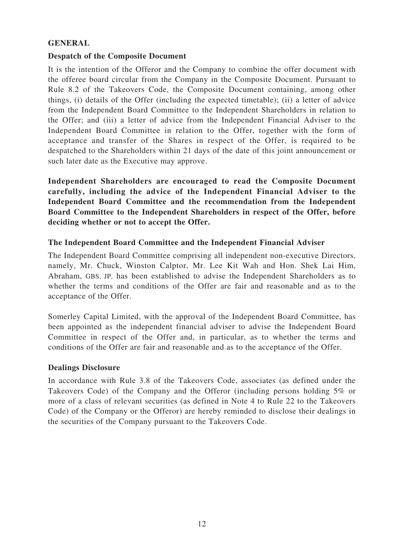## **GENERAL**

## **Despatch of the Composite Document**

It is the intention of the Offeror and the Company to combine the offer document with the offeree board circular from the Company in the Composite Document. Pursuant to Rule 8.2 of the Takeovers Code, the Composite Document containing, among other things, (i) details of the Offer (including the expected timetable); (ii) a letter of advice from the Independent Board Committee to the Independent Shareholders in relation to the Offer; and (iii) a letter of advice from the Independent Financial Adviser to the Independent Board Committee in relation to the Offer, together with the form of acceptance and transfer of the Shares in respect of the Offer, is required to be despatched to the Shareholders within 21 days of the date of this joint announcement or such later date as the Executive may approve.

**Independent Shareholders are encouraged to read the Composite Document carefully, including the advice of the Independent Financial Adviser to the Independent Board Committee and the recommendation from the Independent Board Committee to the Independent Shareholders in respect of the Offer, before deciding whether or not to accept the Offer.**

## **The Independent Board Committee and the Independent Financial Adviser**

The Independent Board Committee comprising all independent non-executive Directors, namely, Mr. Chuck, Winston Calptor, Mr. Lee Kit Wah and Hon. Shek Lai Him, Abraham, GBS, JP, has been established to advise the Independent Shareholders as to whether the terms and conditions of the Offer are fair and reasonable and as to the acceptance of the Offer.

Somerley Capital Limited, with the approval of the Independent Board Committee, has been appointed as the independent financial adviser to advise the Independent Board Committee in respect of the Offer and, in particular, as to whether the terms and conditions of the Offer are fair and reasonable and as to the acceptance of the Offer.

## **Dealings Disclosure**

In accordance with Rule 3.8 of the Takeovers Code, associates (as defined under the Takeovers Code) of the Company and the Offeror (including persons holding 5% or more of a class of relevant securities (as defined in Note 4 to Rule 22 to the Takeovers Code) of the Company or the Offeror) are hereby reminded to disclose their dealings in the securities of the Company pursuant to the Takeovers Code.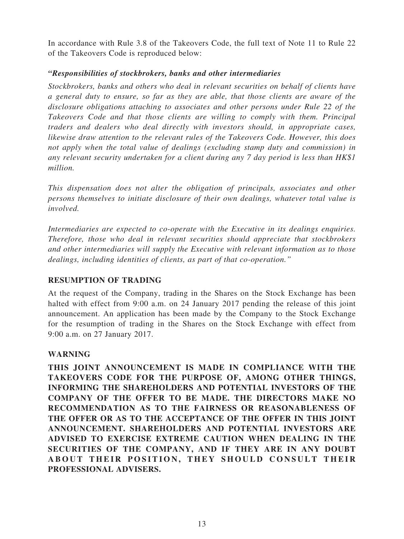In accordance with Rule 3.8 of the Takeovers Code, the full text of Note 11 to Rule 22 of the Takeovers Code is reproduced below:

## *"Responsibilities of stockbrokers, banks and other intermediaries*

*Stockbrokers, banks and others who deal in relevant securities on behalf of clients have a general duty to ensure, so far as they are able, that those clients are aware of the disclosure obligations attaching to associates and other persons under Rule 22 of the Takeovers Code and that those clients are willing to comply with them. Principal traders and dealers who deal directly with investors should, in appropriate cases, likewise draw attention to the relevant rules of the Takeovers Code. However, this does not apply when the total value of dealings (excluding stamp duty and commission) in any relevant security undertaken for a client during any 7 day period is less than HK\$1 million.*

*This dispensation does not alter the obligation of principals, associates and other persons themselves to initiate disclosure of their own dealings, whatever total value is involved.*

*Intermediaries are expected to co-operate with the Executive in its dealings enquiries. Therefore, those who deal in relevant securities should appreciate that stockbrokers and other intermediaries will supply the Executive with relevant information as to those dealings, including identities of clients, as part of that co-operation."*

## **RESUMPTION OF TRADING**

At the request of the Company, trading in the Shares on the Stock Exchange has been halted with effect from 9:00 a.m. on 24 January 2017 pending the release of this joint announcement. An application has been made by the Company to the Stock Exchange for the resumption of trading in the Shares on the Stock Exchange with effect from 9:00 a.m. on 27 January 2017.

## **WARNING**

**THIS JOINT ANNOUNCEMENT IS MADE IN COMPLIANCE WITH THE TAKEOVERS CODE FOR THE PURPOSE OF, AMONG OTHER THINGS, INFORMING THE SHAREHOLDERS AND POTENTIAL INVESTORS OF THE COMPANY OF THE OFFER TO BE MADE. THE DIRECTORS MAKE NO RECOMMENDATION AS TO THE FAIRNESS OR REASONABLENESS OF THE OFFER OR AS TO THE ACCEPTANCE OF THE OFFER IN THIS JOINT ANNOUNCEMENT. SHAREHOLDERS AND POTENTIAL INVESTORS ARE ADVISED TO EXERCISE EXTREME CAUTION WHEN DEALING IN THE SECURITIES OF THE COMPANY, AND IF THEY ARE IN ANY DOUBT** ABOUT THEIR POSITION, THEY SHOULD CONSULT THEIR **PROFESSIONAL ADVISERS.**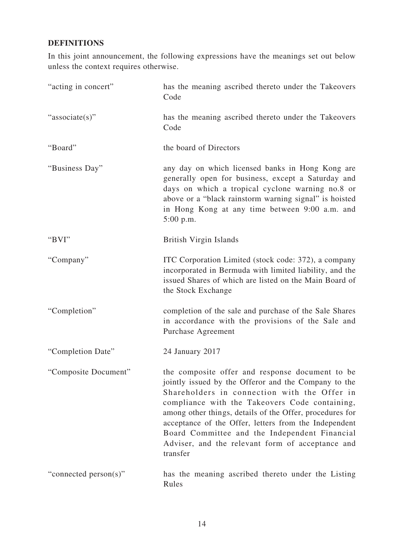## **DEFINITIONS**

In this joint announcement, the following expressions have the meanings set out below unless the context requires otherwise.

| "acting in concert"   | has the meaning ascribed thereto under the Takeovers<br>Code                                                                                                                                                                                                                                                                                                                                                                                    |
|-----------------------|-------------------------------------------------------------------------------------------------------------------------------------------------------------------------------------------------------------------------------------------------------------------------------------------------------------------------------------------------------------------------------------------------------------------------------------------------|
| "associate(s)"        | has the meaning ascribed thereto under the Takeovers<br>Code                                                                                                                                                                                                                                                                                                                                                                                    |
| "Board"               | the board of Directors                                                                                                                                                                                                                                                                                                                                                                                                                          |
| "Business Day"        | any day on which licensed banks in Hong Kong are<br>generally open for business, except a Saturday and<br>days on which a tropical cyclone warning no.8 or<br>above or a "black rainstorm warning signal" is hoisted<br>in Hong Kong at any time between 9:00 a.m. and<br>$5:00$ p.m.                                                                                                                                                           |
| "BVI"                 | British Virgin Islands                                                                                                                                                                                                                                                                                                                                                                                                                          |
| "Company"             | ITC Corporation Limited (stock code: 372), a company<br>incorporated in Bermuda with limited liability, and the<br>issued Shares of which are listed on the Main Board of<br>the Stock Exchange                                                                                                                                                                                                                                                 |
| "Completion"          | completion of the sale and purchase of the Sale Shares<br>in accordance with the provisions of the Sale and<br>Purchase Agreement                                                                                                                                                                                                                                                                                                               |
| "Completion Date"     | 24 January 2017                                                                                                                                                                                                                                                                                                                                                                                                                                 |
| "Composite Document"  | the composite offer and response document to be<br>jointly issued by the Offeror and the Company to the<br>Shareholders in connection with the Offer in<br>compliance with the Takeovers Code containing,<br>among other things, details of the Offer, procedures for<br>acceptance of the Offer, letters from the Independent<br>Board Committee and the Independent Financial<br>Adviser, and the relevant form of acceptance and<br>transfer |
| "connected person(s)" | has the meaning ascribed thereto under the Listing<br>Rules                                                                                                                                                                                                                                                                                                                                                                                     |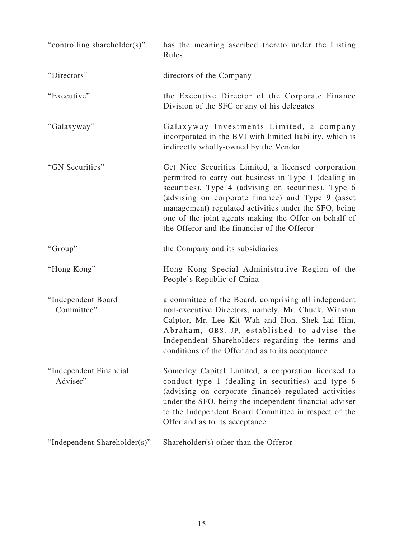| "controlling shareholder(s)"       | has the meaning ascribed thereto under the Listing<br>Rules                                                                                                                                                                                                                                                                                                                                 |
|------------------------------------|---------------------------------------------------------------------------------------------------------------------------------------------------------------------------------------------------------------------------------------------------------------------------------------------------------------------------------------------------------------------------------------------|
| "Directors"                        | directors of the Company                                                                                                                                                                                                                                                                                                                                                                    |
| "Executive"                        | the Executive Director of the Corporate Finance<br>Division of the SFC or any of his delegates                                                                                                                                                                                                                                                                                              |
| "Galaxyway"                        | Galaxyway Investments Limited, a company<br>incorporated in the BVI with limited liability, which is<br>indirectly wholly-owned by the Vendor                                                                                                                                                                                                                                               |
| "GN Securities"                    | Get Nice Securities Limited, a licensed corporation<br>permitted to carry out business in Type 1 (dealing in<br>securities), Type 4 (advising on securities), Type 6<br>(advising on corporate finance) and Type 9 (asset<br>management) regulated activities under the SFO, being<br>one of the joint agents making the Offer on behalf of<br>the Offeror and the financier of the Offeror |
| "Group"                            | the Company and its subsidiaries                                                                                                                                                                                                                                                                                                                                                            |
| "Hong Kong"                        | Hong Kong Special Administrative Region of the<br>People's Republic of China                                                                                                                                                                                                                                                                                                                |
| "Independent Board<br>Committee"   | a committee of the Board, comprising all independent<br>non-executive Directors, namely, Mr. Chuck, Winston<br>Calptor, Mr. Lee Kit Wah and Hon. Shek Lai Him,<br>Abraham, GBS, JP, established to advise the<br>Independent Shareholders regarding the terms and<br>conditions of the Offer and as to its acceptance                                                                       |
| "Independent Financial<br>Adviser" | Somerley Capital Limited, a corporation licensed to<br>conduct type 1 (dealing in securities) and type 6<br>(advising on corporate finance) regulated activities<br>under the SFO, being the independent financial adviser<br>to the Independent Board Committee in respect of the<br>Offer and as to its acceptance                                                                        |
| "Independent Shareholder(s)"       | Shareholder(s) other than the Offeror                                                                                                                                                                                                                                                                                                                                                       |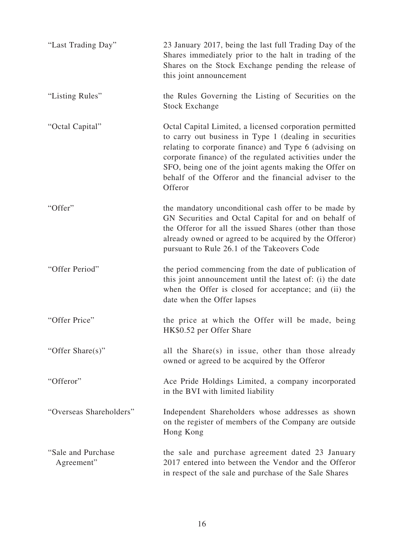| "Last Trading Day"               | 23 January 2017, being the last full Trading Day of the<br>Shares immediately prior to the halt in trading of the<br>Shares on the Stock Exchange pending the release of<br>this joint announcement                                                                                                                                                                    |
|----------------------------------|------------------------------------------------------------------------------------------------------------------------------------------------------------------------------------------------------------------------------------------------------------------------------------------------------------------------------------------------------------------------|
| "Listing Rules"                  | the Rules Governing the Listing of Securities on the<br><b>Stock Exchange</b>                                                                                                                                                                                                                                                                                          |
| "Octal Capital"                  | Octal Capital Limited, a licensed corporation permitted<br>to carry out business in Type 1 (dealing in securities<br>relating to corporate finance) and Type 6 (advising on<br>corporate finance) of the regulated activities under the<br>SFO, being one of the joint agents making the Offer on<br>behalf of the Offeror and the financial adviser to the<br>Offeror |
| "Offer"                          | the mandatory unconditional cash offer to be made by<br>GN Securities and Octal Capital for and on behalf of<br>the Offeror for all the issued Shares (other than those<br>already owned or agreed to be acquired by the Offeror)<br>pursuant to Rule 26.1 of the Takeovers Code                                                                                       |
| "Offer Period"                   | the period commencing from the date of publication of<br>this joint announcement until the latest of: (i) the date<br>when the Offer is closed for acceptance; and (ii) the<br>date when the Offer lapses                                                                                                                                                              |
| "Offer Price"                    | the price at which the Offer will be made, being<br>HK\$0.52 per Offer Share                                                                                                                                                                                                                                                                                           |
| "Offer Share(s)"                 | all the Share(s) in issue, other than those already<br>owned or agreed to be acquired by the Offeror                                                                                                                                                                                                                                                                   |
| "Offeror"                        | Ace Pride Holdings Limited, a company incorporated<br>in the BVI with limited liability                                                                                                                                                                                                                                                                                |
| "Overseas Shareholders"          | Independent Shareholders whose addresses as shown<br>on the register of members of the Company are outside<br>Hong Kong                                                                                                                                                                                                                                                |
| "Sale and Purchase<br>Agreement" | the sale and purchase agreement dated 23 January<br>2017 entered into between the Vendor and the Offeror<br>in respect of the sale and purchase of the Sale Shares                                                                                                                                                                                                     |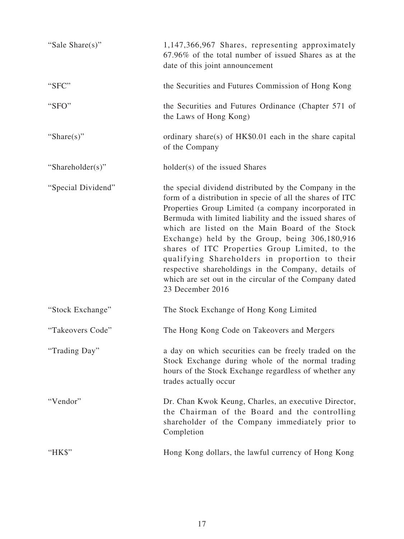| "Sale Share(s)"    | 1,147,366,967 Shares, representing approximately<br>67.96% of the total number of issued Shares as at the<br>date of this joint announcement                                                                                                                                                                                                                                                                                                                                                                                                                                        |
|--------------------|-------------------------------------------------------------------------------------------------------------------------------------------------------------------------------------------------------------------------------------------------------------------------------------------------------------------------------------------------------------------------------------------------------------------------------------------------------------------------------------------------------------------------------------------------------------------------------------|
| "SFC"              | the Securities and Futures Commission of Hong Kong                                                                                                                                                                                                                                                                                                                                                                                                                                                                                                                                  |
| "SFO"              | the Securities and Futures Ordinance (Chapter 571 of<br>the Laws of Hong Kong)                                                                                                                                                                                                                                                                                                                                                                                                                                                                                                      |
| "Share $(s)$ "     | ordinary share(s) of HK\$0.01 each in the share capital<br>of the Company                                                                                                                                                                                                                                                                                                                                                                                                                                                                                                           |
| "Shareholder(s)"   | holder(s) of the issued Shares                                                                                                                                                                                                                                                                                                                                                                                                                                                                                                                                                      |
| "Special Dividend" | the special dividend distributed by the Company in the<br>form of a distribution in specie of all the shares of ITC<br>Properties Group Limited (a company incorporated in<br>Bermuda with limited liability and the issued shares of<br>which are listed on the Main Board of the Stock<br>Exchange) held by the Group, being 306,180,916<br>shares of ITC Properties Group Limited, to the<br>qualifying Shareholders in proportion to their<br>respective shareholdings in the Company, details of<br>which are set out in the circular of the Company dated<br>23 December 2016 |
| "Stock Exchange"   | The Stock Exchange of Hong Kong Limited                                                                                                                                                                                                                                                                                                                                                                                                                                                                                                                                             |
| "Takeovers Code"   | The Hong Kong Code on Takeovers and Mergers                                                                                                                                                                                                                                                                                                                                                                                                                                                                                                                                         |
| "Trading Day"      | a day on which securities can be freely traded on the<br>Stock Exchange during whole of the normal trading<br>hours of the Stock Exchange regardless of whether any<br>trades actually occur                                                                                                                                                                                                                                                                                                                                                                                        |
| "Vendor"           | Dr. Chan Kwok Keung, Charles, an executive Director,<br>the Chairman of the Board and the controlling<br>shareholder of the Company immediately prior to<br>Completion                                                                                                                                                                                                                                                                                                                                                                                                              |
| "HK\$"             | Hong Kong dollars, the lawful currency of Hong Kong                                                                                                                                                                                                                                                                                                                                                                                                                                                                                                                                 |